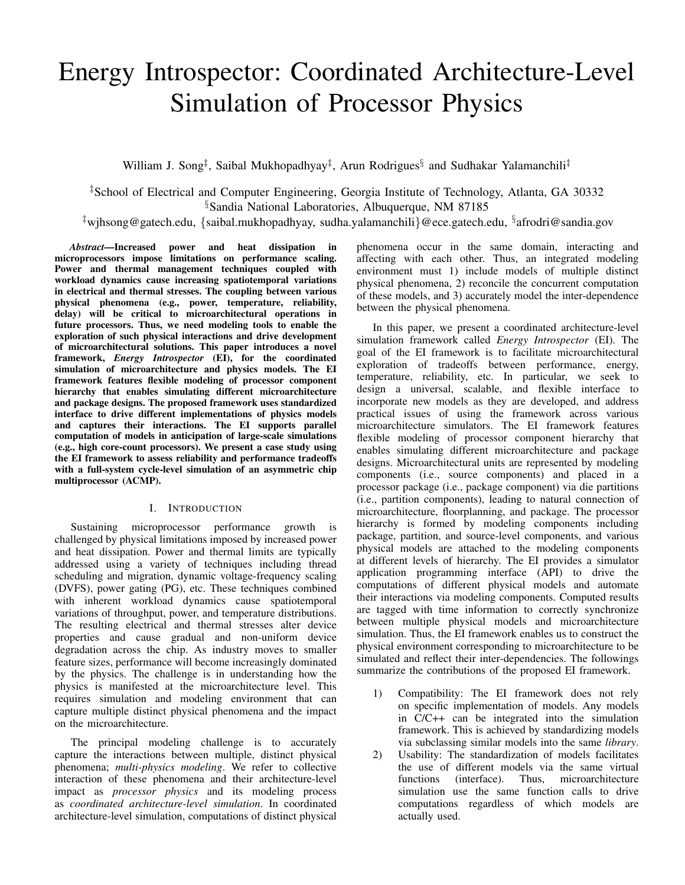# Energy Introspector: Coordinated Architecture-Level Simulation of Processor Physics

William J. Song<sup>‡</sup>, Saibal Mukhopadhyay<sup>‡</sup>, Arun Rodrigues<sup>§</sup> and Sudhakar Yalamanchili<sup>‡</sup>

‡School of Electrical and Computer Engineering, Georgia Institute of Technology, Atlanta, GA 30332 §Sandia National Laboratories, Albuquerque, NM 87185

‡wjhsong@gatech.edu, {saibal.mukhopadhyay, sudha.yalamanchili}@ece.gatech.edu, § afrodri@sandia.gov

*Abstract*—Increased power and heat dissipation in microprocessors impose limitations on performance scaling. Power and thermal management techniques coupled with workload dynamics cause increasing spatiotemporal variations in electrical and thermal stresses. The coupling between various physical phenomena (e.g., power, temperature, reliability, delay) will be critical to microarchitectural operations in future processors. Thus, we need modeling tools to enable the exploration of such physical interactions and drive development of microarchitectural solutions. This paper introduces a novel framework, *Energy Introspector* (EI), for the coordinated simulation of microarchitecture and physics models. The EI framework features flexible modeling of processor component hierarchy that enables simulating different microarchitecture and package designs. The proposed framework uses standardized interface to drive different implementations of physics models and captures their interactions. The EI supports parallel computation of models in anticipation of large-scale simulations (e.g., high core-count processors). We present a case study using the EI framework to assess reliability and performance tradeoffs with a full-system cycle-level simulation of an asymmetric chip multiprocessor (ACMP).

#### I. INTRODUCTION

Sustaining microprocessor performance growth is challenged by physical limitations imposed by increased power and heat dissipation. Power and thermal limits are typically addressed using a variety of techniques including thread scheduling and migration, dynamic voltage-frequency scaling (DVFS), power gating (PG), etc. These techniques combined with inherent workload dynamics cause spatiotemporal variations of throughput, power, and temperature distributions. The resulting electrical and thermal stresses alter device properties and cause gradual and non-uniform device degradation across the chip. As industry moves to smaller feature sizes, performance will become increasingly dominated by the physics. The challenge is in understanding how the physics is manifested at the microarchitecture level. This requires simulation and modeling environment that can capture multiple distinct physical phenomena and the impact on the microarchitecture.

The principal modeling challenge is to accurately capture the interactions between multiple, distinct physical phenomena; *multi-physics modeling*. We refer to collective interaction of these phenomena and their architecture-level impact as *processor physics* and its modeling process as *coordinated architecture-level simulation*. In coordinated architecture-level simulation, computations of distinct physical phenomena occur in the same domain, interacting and affecting with each other. Thus, an integrated modeling environment must 1) include models of multiple distinct physical phenomena, 2) reconcile the concurrent computation of these models, and 3) accurately model the inter-dependence between the physical phenomena.

In this paper, we present a coordinated architecture-level simulation framework called *Energy Introspector* (EI). The goal of the EI framework is to facilitate microarchitectural exploration of tradeoffs between performance, energy, temperature, reliability, etc. In particular, we seek to design a universal, scalable, and flexible interface to incorporate new models as they are developed, and address practical issues of using the framework across various microarchitecture simulators. The EI framework features flexible modeling of processor component hierarchy that enables simulating different microarchitecture and package designs. Microarchitectural units are represented by modeling components (i.e., source components) and placed in a processor package (i.e., package component) via die partitions (i.e., partition components), leading to natural connection of microarchitecture, floorplanning, and package. The processor hierarchy is formed by modeling components including package, partition, and source-level components, and various physical models are attached to the modeling components at different levels of hierarchy. The EI provides a simulator application programming interface (API) to drive the computations of different physical models and automate their interactions via modeling components. Computed results are tagged with time information to correctly synchronize between multiple physical models and microarchitecture simulation. Thus, the EI framework enables us to construct the physical environment corresponding to microarchitecture to be simulated and reflect their inter-dependencies. The followings summarize the contributions of the proposed EI framework.

- 1) Compatibility: The EI framework does not rely on specific implementation of models. Any models in C/C++ can be integrated into the simulation framework. This is achieved by standardizing models via subclassing similar models into the same *library*.
- 2) Usability: The standardization of models facilitates the use of different models via the same virtual functions (interface). Thus, microarchitecture simulation use the same function calls to drive computations regardless of which models are actually used.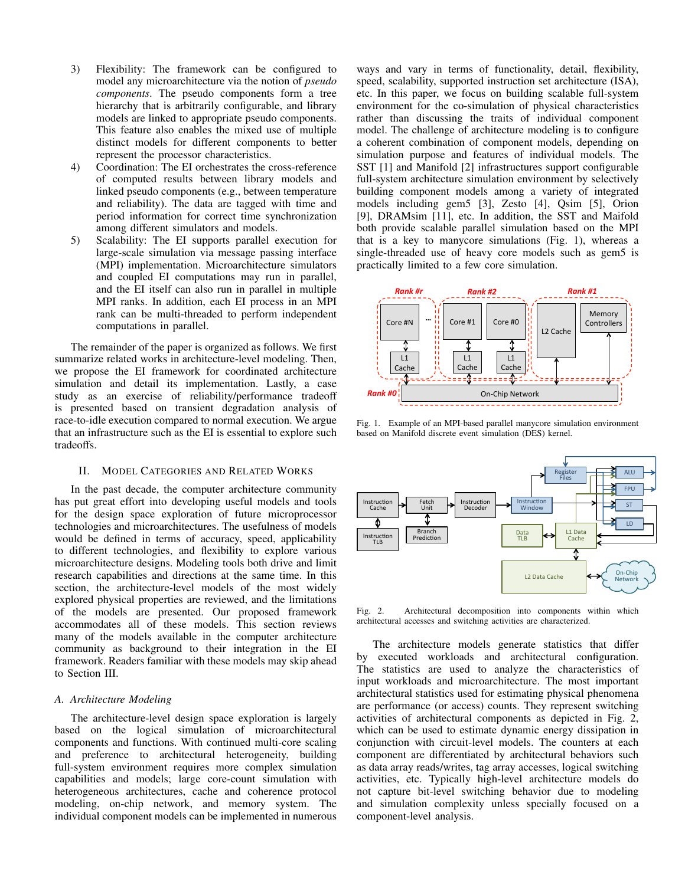- 3) Flexibility: The framework can be configured to model any microarchitecture via the notion of *pseudo components*. The pseudo components form a tree hierarchy that is arbitrarily configurable, and library models are linked to appropriate pseudo components. This feature also enables the mixed use of multiple distinct models for different components to better represent the processor characteristics.
- 4) Coordination: The EI orchestrates the cross-reference of computed results between library models and linked pseudo components (e.g., between temperature and reliability). The data are tagged with time and period information for correct time synchronization among different simulators and models.
- 5) Scalability: The EI supports parallel execution for large-scale simulation via message passing interface (MPI) implementation. Microarchitecture simulators and coupled EI computations may run in parallel, and the EI itself can also run in parallel in multiple MPI ranks. In addition, each EI process in an MPI rank can be multi-threaded to perform independent computations in parallel.

The remainder of the paper is organized as follows. We first summarize related works in architecture-level modeling. Then, we propose the EI framework for coordinated architecture simulation and detail its implementation. Lastly, a case study as an exercise of reliability/performance tradeoff is presented based on transient degradation analysis of race-to-idle execution compared to normal execution. We argue that an infrastructure such as the EI is essential to explore such tradeoffs.

#### II. MODEL CATEGORIES AND RELATED WORKS

In the past decade, the computer architecture community has put great effort into developing useful models and tools for the design space exploration of future microprocessor technologies and microarchitectures. The usefulness of models would be defined in terms of accuracy, speed, applicability to different technologies, and flexibility to explore various microarchitecture designs. Modeling tools both drive and limit research capabilities and directions at the same time. In this section, the architecture-level models of the most widely explored physical properties are reviewed, and the limitations of the models are presented. Our proposed framework accommodates all of these models. This section reviews many of the models available in the computer architecture community as background to their integration in the EI framework. Readers familiar with these models may skip ahead to Section III.

### *A. Architecture Modeling*

The architecture-level design space exploration is largely based on the logical simulation of microarchitectural components and functions. With continued multi-core scaling and preference to architectural heterogeneity, building full-system environment requires more complex simulation capabilities and models; large core-count simulation with heterogeneous architectures, cache and coherence protocol modeling, on-chip network, and memory system. The individual component models can be implemented in numerous ways and vary in terms of functionality, detail, flexibility, speed, scalability, supported instruction set architecture (ISA), etc. In this paper, we focus on building scalable full-system environment for the co-simulation of physical characteristics rather than discussing the traits of individual component model. The challenge of architecture modeling is to configure a coherent combination of component models, depending on simulation purpose and features of individual models. The SST [1] and Manifold [2] infrastructures support configurable full-system architecture simulation environment by selectively building component models among a variety of integrated models including gem5 [3], Zesto [4], Qsim [5], Orion [9], DRAMsim [11], etc. In addition, the SST and Maifold both provide scalable parallel simulation based on the MPI that is a key to manycore simulations (Fig. 1), whereas a single-threaded use of heavy core models such as gem5 is practically limited to a few core simulation.



Fig. 1. Example of an MPI-based parallel manycore simulation environment based on Manifold discrete event simulation (DES) kernel.



Fig. 2. Architectural decomposition into components within which architectural accesses and switching activities are characterized.

The architecture models generate statistics that differ by executed workloads and architectural configuration. The statistics are used to analyze the characteristics of input workloads and microarchitecture. The most important architectural statistics used for estimating physical phenomena are performance (or access) counts. They represent switching activities of architectural components as depicted in Fig. 2, which can be used to estimate dynamic energy dissipation in conjunction with circuit-level models. The counters at each component are differentiated by architectural behaviors such as data array reads/writes, tag array accesses, logical switching activities, etc. Typically high-level architecture models do not capture bit-level switching behavior due to modeling and simulation complexity unless specially focused on a component-level analysis.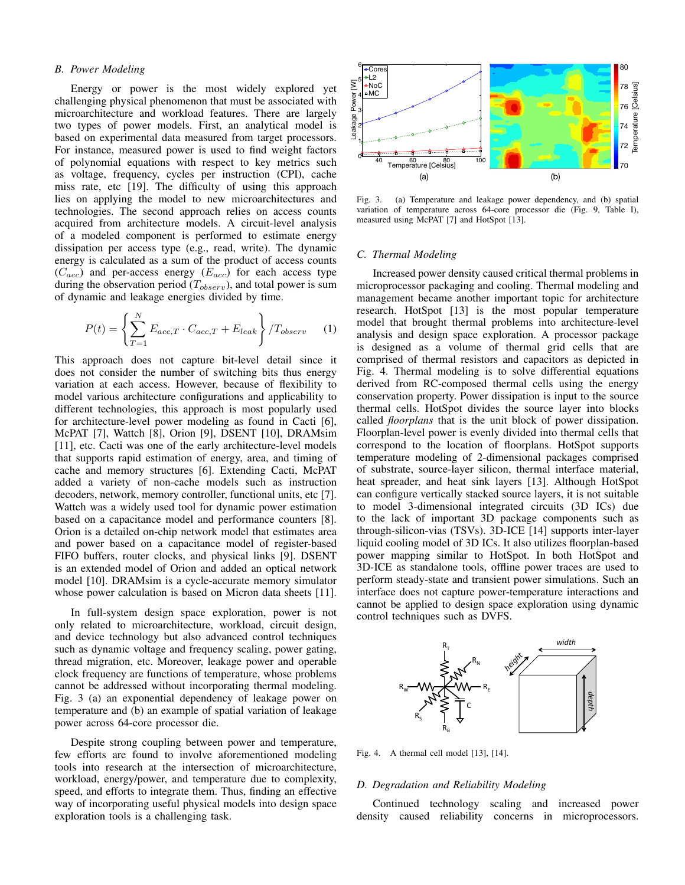#### *B. Power Modeling*

Energy or power is the most widely explored yet challenging physical phenomenon that must be associated with microarchitecture and workload features. There are largely two types of power models. First, an analytical model is based on experimental data measured from target processors. For instance, measured power is used to find weight factors of polynomial equations with respect to key metrics such as voltage, frequency, cycles per instruction (CPI), cache miss rate, etc [19]. The difficulty of using this approach lies on applying the model to new microarchitectures and technologies. The second approach relies on access counts acquired from architecture models. A circuit-level analysis of a modeled component is performed to estimate energy dissipation per access type (e.g., read, write). The dynamic energy is calculated as a sum of the product of access counts  $(C_{acc})$  and per-access energy  $(E_{acc})$  for each access type during the observation period  $(T_{observ})$ , and total power is sum of dynamic and leakage energies divided by time.

$$
P(t) = \left\{ \sum_{T=1}^{N} E_{acc,T} \cdot C_{acc,T} + E_{leak} \right\} / T_{observ} \tag{1}
$$

This approach does not capture bit-level detail since it does not consider the number of switching bits thus energy variation at each access. However, because of flexibility to model various architecture configurations and applicability to different technologies, this approach is most popularly used for architecture-level power modeling as found in Cacti [6], McPAT [7], Wattch [8], Orion [9], DSENT [10], DRAMsim [11], etc. Cacti was one of the early architecture-level models that supports rapid estimation of energy, area, and timing of cache and memory structures [6]. Extending Cacti, McPAT added a variety of non-cache models such as instruction decoders, network, memory controller, functional units, etc [7]. Wattch was a widely used tool for dynamic power estimation based on a capacitance model and performance counters [8]. Orion is a detailed on-chip network model that estimates area and power based on a capacitance model of register-based FIFO buffers, router clocks, and physical links [9]. DSENT is an extended model of Orion and added an optical network model [10]. DRAMsim is a cycle-accurate memory simulator whose power calculation is based on Micron data sheets [11].

In full-system design space exploration, power is not only related to microarchitecture, workload, circuit design, and device technology but also advanced control techniques such as dynamic voltage and frequency scaling, power gating, thread migration, etc. Moreover, leakage power and operable clock frequency are functions of temperature, whose problems cannot be addressed without incorporating thermal modeling. Fig. 3 (a) an exponential dependency of leakage power on temperature and (b) an example of spatial variation of leakage power across 64-core processor die.

Despite strong coupling between power and temperature, few efforts are found to involve aforementioned modeling tools into research at the intersection of microarchitecture, workload, energy/power, and temperature due to complexity, speed, and efforts to integrate them. Thus, finding an effective way of incorporating useful physical models into design space exploration tools is a challenging task.



Fig. 3. (a) Temperature and leakage power dependency, and (b) spatial variation of temperature across 64-core processor die (Fig. 9, Table I), measured using McPAT [7] and HotSpot [13].

#### *C. Thermal Modeling*

Increased power density caused critical thermal problems in microprocessor packaging and cooling. Thermal modeling and management became another important topic for architecture research. HotSpot [13] is the most popular temperature model that brought thermal problems into architecture-level analysis and design space exploration. A processor package is designed as a volume of thermal grid cells that are comprised of thermal resistors and capacitors as depicted in Fig. 4. Thermal modeling is to solve differential equations derived from RC-composed thermal cells using the energy conservation property. Power dissipation is input to the source thermal cells. HotSpot divides the source layer into blocks called *floorplans* that is the unit block of power dissipation. Floorplan-level power is evenly divided into thermal cells that correspond to the location of floorplans. HotSpot supports temperature modeling of 2-dimensional packages comprised of substrate, source-layer silicon, thermal interface material, heat spreader, and heat sink layers [13]. Although HotSpot can configure vertically stacked source layers, it is not suitable to model 3-dimensional integrated circuits (3D ICs) due to the lack of important 3D package components such as through-silicon-vias (TSVs). 3D-ICE [14] supports inter-layer liquid cooling model of 3D ICs. It also utilizes floorplan-based power mapping similar to HotSpot. In both HotSpot and 3D-ICE as standalone tools, offline power traces are used to perform steady-state and transient power simulations. Such an interface does not capture power-temperature interactions and cannot be applied to design space exploration using dynamic control techniques such as DVFS.



Fig. 4. A thermal cell model [13], [14].

#### *D. Degradation and Reliability Modeling*

Continued technology scaling and increased power density caused reliability concerns in microprocessors.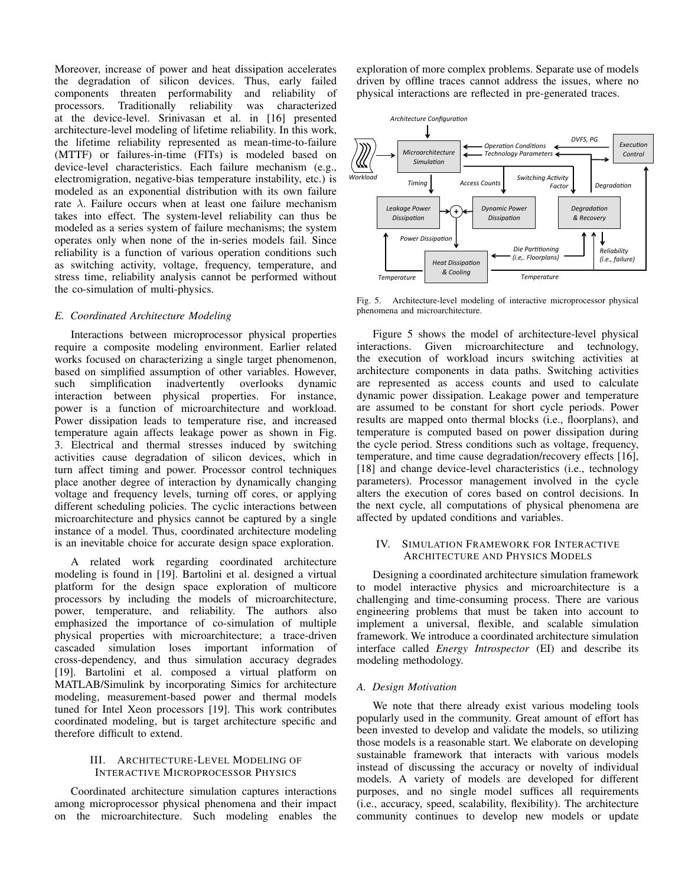Moreover, increase of power and heat dissipation accelerates the degradation of silicon devices. Thus, early failed components threaten performability and reliability of processors. Traditionally reliability was characterized at the device-level. Srinivasan et al. in [16] presented architecture-level modeling of lifetime reliability. In this work, the lifetime reliability represented as mean-time-to-failure (MTTF) or failures-in-time (FITs) is modeled based on device-level characteristics. Each failure mechanism (e.g., electromigration, negative-bias temperature instability, etc.) is modeled as an exponential distribution with its own failure rate  $\lambda$ . Failure occurs when at least one failure mechanism takes into effect. The system-level reliability can thus be modeled as a series system of failure mechanisms; the system operates only when none of the in-series models fail. Since reliability is a function of various operation conditions such as switching activity, voltage, frequency, temperature, and stress time, reliability analysis cannot be performed without the co-simulation of multi-physics.

#### *E. Coordinated Architecture Modeling*

Interactions between microprocessor physical properties require a composite modeling environment. Earlier related works focused on characterizing a single target phenomenon, based on simplified assumption of other variables. However, such simplification inadvertently overlooks dynamic interaction between physical properties. For instance, power is a function of microarchitecture and workload. Power dissipation leads to temperature rise, and increased temperature again affects leakage power as shown in Fig. 3. Electrical and thermal stresses induced by switching activities cause degradation of silicon devices, which in turn affect timing and power. Processor control techniques place another degree of interaction by dynamically changing voltage and frequency levels, turning off cores, or applying different scheduling policies. The cyclic interactions between microarchitecture and physics cannot be captured by a single instance of a model. Thus, coordinated architecture modeling is an inevitable choice for accurate design space exploration.

A related work regarding coordinated architecture modeling is found in [19]. Bartolini et al. designed a virtual platform for the design space exploration of multicore processors by including the models of microarchitecture, power, temperature, and reliability. The authors also emphasized the importance of co-simulation of multiple physical properties with microarchitecture; a trace-driven cascaded simulation loses important information of cross-dependency, and thus simulation accuracy degrades [19]. Bartolini et al. composed a virtual platform on MATLAB/Simulink by incorporating Simics for architecture modeling, measurement-based power and thermal models tuned for Intel Xeon processors [19]. This work contributes coordinated modeling, but is target architecture specific and therefore difficult to extend.

#### III. ARCHITECTURE-LEVEL MODELING OF INTERACTIVE MICROPROCESSOR PHYSICS

Coordinated architecture simulation captures interactions among microprocessor physical phenomena and their impact on the microarchitecture. Such modeling enables the exploration of more complex problems. Separate use of models driven by offline traces cannot address the issues, where no physical interactions are reflected in pre-generated traces.



Fig. 5. Architecture-level modeling of interactive microprocessor physical phenomena and microarchitecture.

Figure 5 shows the model of architecture-level physical interactions. Given microarchitecture and technology, the execution of workload incurs switching activities at architecture components in data paths. Switching activities are represented as access counts and used to calculate dynamic power dissipation. Leakage power and temperature are assumed to be constant for short cycle periods. Power results are mapped onto thermal blocks (i.e., floorplans), and temperature is computed based on power dissipation during the cycle period. Stress conditions such as voltage, frequency, temperature, and time cause degradation/recovery effects [16], [18] and change device-level characteristics (i.e., technology parameters). Processor management involved in the cycle alters the execution of cores based on control decisions. In the next cycle, all computations of physical phenomena are affected by updated conditions and variables.

## IV. SIMULATION FRAMEWORK FOR INTERACTIVE ARCHITECTURE AND PHYSICS MODELS

Designing a coordinated architecture simulation framework to model interactive physics and microarchitecture is a challenging and time-consuming process. There are various engineering problems that must be taken into account to implement a universal, flexible, and scalable simulation framework. We introduce a coordinated architecture simulation interface called *Energy Introspector* (EI) and describe its modeling methodology.

# *A. Design Motivation*

We note that there already exist various modeling tools popularly used in the community. Great amount of effort has been invested to develop and validate the models, so utilizing those models is a reasonable start. We elaborate on developing sustainable framework that interacts with various models instead of discussing the accuracy or novelty of individual models. A variety of models are developed for different purposes, and no single model suffices all requirements (i.e., accuracy, speed, scalability, flexibility). The architecture community continues to develop new models or update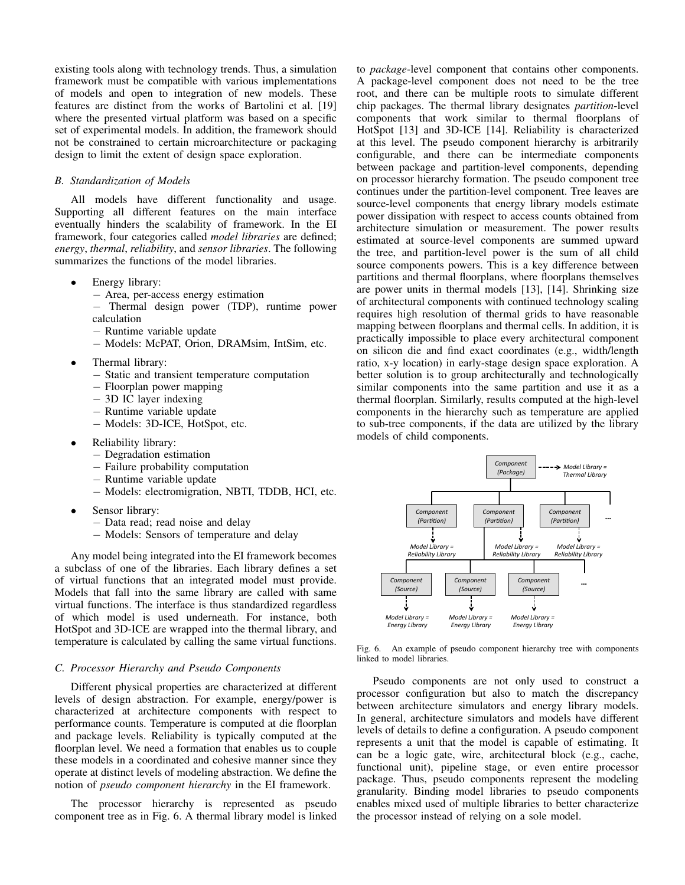existing tools along with technology trends. Thus, a simulation framework must be compatible with various implementations of models and open to integration of new models. These features are distinct from the works of Bartolini et al. [19] where the presented virtual platform was based on a specific set of experimental models. In addition, the framework should not be constrained to certain microarchitecture or packaging design to limit the extent of design space exploration.

### *B. Standardization of Models*

All models have different functionality and usage. Supporting all different features on the main interface eventually hinders the scalability of framework. In the EI framework, four categories called *model libraries* are defined; *energy*, *thermal*, *reliability*, and *sensor libraries*. The following summarizes the functions of the model libraries.

- Energy library:
	- − Area, per-access energy estimation
	- − Thermal design power (TDP), runtime power calculation
	- − Runtime variable update − Models: McPAT, Orion, DRAMsim, IntSim, etc.
- Thermal library:
	- − Static and transient temperature computation
	- − Floorplan power mapping
	- − 3D IC layer indexing
	- − Runtime variable update
	- − Models: 3D-ICE, HotSpot, etc.
- Reliability library:
	- − Degradation estimation
	- − Failure probability computation
	- − Runtime variable update
	- − Models: electromigration, NBTI, TDDB, HCI, etc.
- Sensor library:
	- − Data read; read noise and delay
	- − Models: Sensors of temperature and delay

Any model being integrated into the EI framework becomes a subclass of one of the libraries. Each library defines a set of virtual functions that an integrated model must provide. Models that fall into the same library are called with same virtual functions. The interface is thus standardized regardless of which model is used underneath. For instance, both HotSpot and 3D-ICE are wrapped into the thermal library, and temperature is calculated by calling the same virtual functions.

#### *C. Processor Hierarchy and Pseudo Components*

Different physical properties are characterized at different levels of design abstraction. For example, energy/power is characterized at architecture components with respect to performance counts. Temperature is computed at die floorplan and package levels. Reliability is typically computed at the floorplan level. We need a formation that enables us to couple these models in a coordinated and cohesive manner since they operate at distinct levels of modeling abstraction. We define the notion of *pseudo component hierarchy* in the EI framework.

The processor hierarchy is represented as pseudo component tree as in Fig. 6. A thermal library model is linked to *package*-level component that contains other components. A package-level component does not need to be the tree root, and there can be multiple roots to simulate different chip packages. The thermal library designates *partition*-level components that work similar to thermal floorplans of HotSpot [13] and 3D-ICE [14]. Reliability is characterized at this level. The pseudo component hierarchy is arbitrarily configurable, and there can be intermediate components between package and partition-level components, depending on processor hierarchy formation. The pseudo component tree continues under the partition-level component. Tree leaves are source-level components that energy library models estimate power dissipation with respect to access counts obtained from architecture simulation or measurement. The power results estimated at source-level components are summed upward the tree, and partition-level power is the sum of all child source components powers. This is a key difference between partitions and thermal floorplans, where floorplans themselves are power units in thermal models [13], [14]. Shrinking size of architectural components with continued technology scaling requires high resolution of thermal grids to have reasonable mapping between floorplans and thermal cells. In addition, it is practically impossible to place every architectural component on silicon die and find exact coordinates (e.g., width/length ratio, x-y location) in early-stage design space exploration. A better solution is to group architecturally and technologically similar components into the same partition and use it as a thermal floorplan. Similarly, results computed at the high-level components in the hierarchy such as temperature are applied to sub-tree components, if the data are utilized by the library models of child components.



Fig. 6. An example of pseudo component hierarchy tree with components linked to model libraries.

Pseudo components are not only used to construct a processor configuration but also to match the discrepancy between architecture simulators and energy library models. In general, architecture simulators and models have different levels of details to define a configuration. A pseudo component represents a unit that the model is capable of estimating. It can be a logic gate, wire, architectural block (e.g., cache, functional unit), pipeline stage, or even entire processor package. Thus, pseudo components represent the modeling granularity. Binding model libraries to pseudo components enables mixed used of multiple libraries to better characterize the processor instead of relying on a sole model.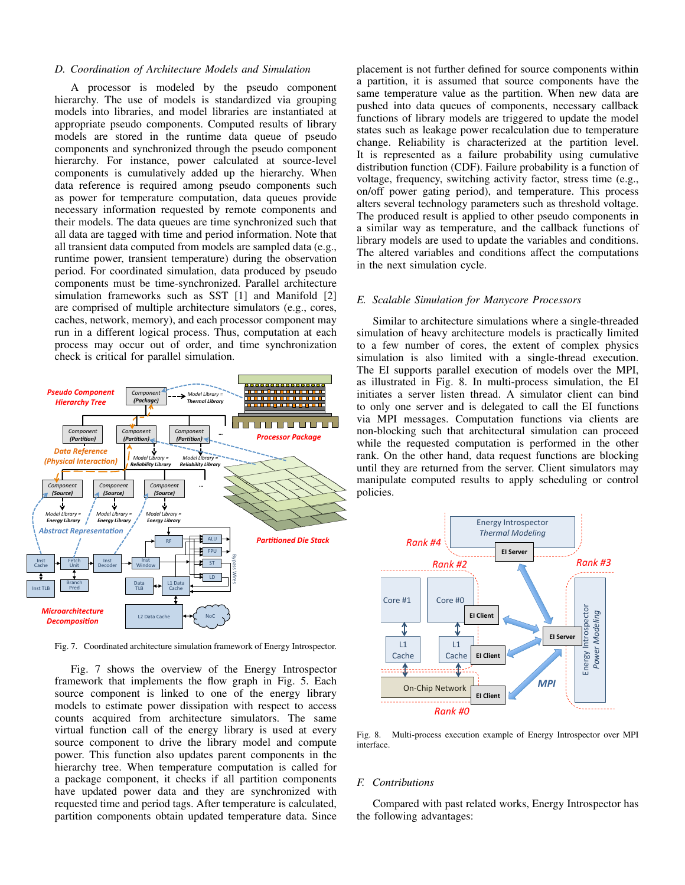#### *D. Coordination of Architecture Models and Simulation*

A processor is modeled by the pseudo component hierarchy. The use of models is standardized via grouping models into libraries, and model libraries are instantiated at appropriate pseudo components. Computed results of library models are stored in the runtime data queue of pseudo components and synchronized through the pseudo component hierarchy. For instance, power calculated at source-level components is cumulatively added up the hierarchy. When data reference is required among pseudo components such as power for temperature computation, data queues provide necessary information requested by remote components and their models. The data queues are time synchronized such that all data are tagged with time and period information. Note that all transient data computed from models are sampled data (e.g., runtime power, transient temperature) during the observation period. For coordinated simulation, data produced by pseudo components must be time-synchronized. Parallel architecture simulation frameworks such as SST [1] and Manifold [2] are comprised of multiple architecture simulators (e.g., cores, caches, network, memory), and each processor component may run in a different logical process. Thus, computation at each process may occur out of order, and time synchronization check is critical for parallel simulation.



Fig. 7. Coordinated architecture simulation framework of Energy Introspector.

Fig. 7 shows the overview of the Energy Introspector framework that implements the flow graph in Fig. 5. Each Source component is linked to one of the energy library on-Chip Network models to estimate power dissipation with respect to access counts acquired from architecture simulators. The same virtual function call of the energy library is used at every source component to drive the library model and compute power. This function also updates parent components in the hierarchy tree. When temperature computation is called for a package component, it checks if all partition components have updated power data and they are synchronized with requested time and period tags. After temperature is calculated, partition components obtain updated temperature data. Since

placement is not further defined for source components within a partition, it is assumed that source components have the same temperature value as the partition. When new data are pushed into data queues of components, necessary callback functions of library models are triggered to update the model states such as leakage power recalculation due to temperature change. Reliability is characterized at the partition level. It is represented as a failure probability using cumulative distribution function (CDF). Failure probability is a function of voltage, frequency, switching activity factor, stress time (e.g., on/off power gating period), and temperature. This process alters several technology parameters such as threshold voltage. The produced result is applied to other pseudo components in a similar way as temperature, and the callback functions of library models are used to update the variables and conditions. The altered variables and conditions affect the computations in the next simulation cycle.

#### *E. Scalable Simulation for Manycore Processors*

Similar to architecture simulations where a single-threaded simulation of heavy architecture models is practically limited to a few number of cores, the extent of complex physics simulation is also limited with a single-thread execution. The EI supports parallel execution of models over the MPI, as illustrated in Fig. 8. In multi-process simulation, the EI initiates a server listen thread. A simulator client can bind to only one server and is delegated to call the EI functions via MPI messages. Computation functions via clients are non-blocking such that architectural simulation can proceed while the requested computation is performed in the other rank. On the other hand, data request functions are blocking until they are returned from the server. Client simulators may manipulate computed results to apply scheduling or control policies.



Fig. 8. Multi-process execution example of Energy Introspector over MPI interface.

### *F. Contributions*

Compared with past related works, Energy Introspector has the following advantages: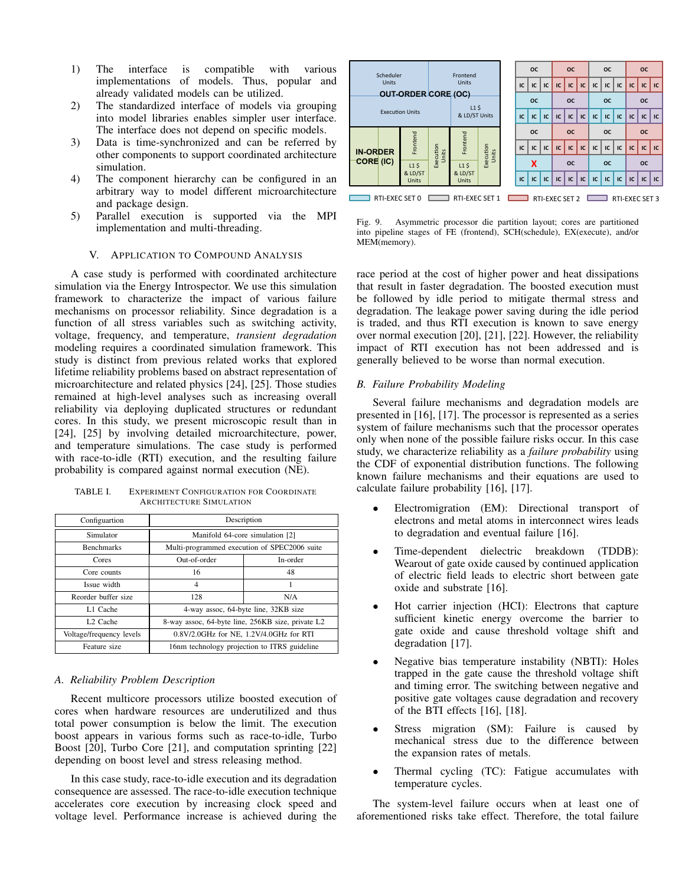- 1) The interface is compatible with various implementations of models. Thus, popular and already validated models can be utilized.
- 2) The standardized interface of models via grouping into model libraries enables simpler user interface. The interface does not depend on specific models.
- 3) Data is time-synchronized and can be referred by other components to support coordinated architecture simulation.
- 4) The component hierarchy can be configured in an arbitrary way to model different microarchitecture and package design.
- 5) Parallel execution is supported via the MPI implementation and multi-threading.

# V. APPLICATION TO COMPOUND ANALYSIS

A case study is performed with coordinated architecture simulation via the Energy Introspector. We use this simulation framework to characterize the impact of various failure mechanisms on processor reliability. Since degradation is a function of all stress variables such as switching activity, voltage, frequency, and temperature, *transient degradation* modeling requires a coordinated simulation framework. This study is distinct from previous related works that explored lifetime reliability problems based on abstract representation of microarchitecture and related physics [24], [25]. Those studies remained at high-level analyses such as increasing overall reliability via deploying duplicated structures or redundant cores. In this study, we present microscopic result than in [24], [25] by involving detailed microarchitecture, power, and temperature simulations. The case study is performed with race-to-idle (RTI) execution, and the resulting failure probability is compared against normal execution (NE).

TABLE I. EXPERIMENT CONFIGURATION FOR COORDINATE ARCHITECTURE SIMULATION

| Configuartion            | Description                                       |          |
|--------------------------|---------------------------------------------------|----------|
| Simulator                | Manifold 64-core simulation [2]                   |          |
| <b>Benchmarks</b>        | Multi-programmed execution of SPEC2006 suite      |          |
| Cores                    | Out-of-order                                      | In-order |
| Core counts              | 16                                                | 48       |
| Issue width              | 4                                                 | 1        |
| Reorder buffer size      | 128                                               | N/A      |
| L1 Cache                 | 4-way assoc, 64-byte line, 32KB size              |          |
| L <sub>2</sub> Cache     | 8-way assoc, 64-byte line, 256KB size, private L2 |          |
| Voltage/frequency levels | $0.8V/2.0GHz$ for NE, $1.2V/4.0GHz$ for RTI       |          |
| Feature size             | 16nm technology projection to ITRS guideline      |          |

#### *A. Reliability Problem Description*

Recent multicore processors utilize boosted execution of cores when hardware resources are underutilized and thus total power consumption is below the limit. The execution boost appears in various forms such as race-to-idle, Turbo Boost [20], Turbo Core [21], and computation sprinting [22] depending on boost level and stress releasing method.

In this case study, race-to-idle execution and its degradation consequence are assessed. The race-to-idle execution technique accelerates core execution by increasing clock speed and voltage level. Performance increase is achieved during the



Fig. 9. Asymmetric processor die partition layout; cores are partitioned into pipeline stages of FE (frontend), SCH(schedule), EX(execute), and/or MEM(memory).

race period at the cost of higher power and heat dissipations that result in faster degradation. The boosted execution must be followed by idle period to mitigate thermal stress and degradation. The leakage power saving during the idle period is traded, and thus RTI execution is known to save energy over normal execution [20], [21], [22]. However, the reliability impact of RTI execution has not been addressed and is generally believed to be worse than normal execution.

#### *B. Failure Probability Modeling*

Several failure mechanisms and degradation models are presented in [16], [17]. The processor is represented as a series system of failure mechanisms such that the processor operates only when none of the possible failure risks occur. In this case study, we characterize reliability as a *failure probability* using the CDF of exponential distribution functions. The following known failure mechanisms and their equations are used to calculate failure probability [16], [17].

- Electromigration (EM): Directional transport of electrons and metal atoms in interconnect wires leads to degradation and eventual failure [16].
- Time-dependent dielectric breakdown (TDDB): Wearout of gate oxide caused by continued application of electric field leads to electric short between gate oxide and substrate [16].
- Hot carrier injection (HCI): Electrons that capture sufficient kinetic energy overcome the barrier to gate oxide and cause threshold voltage shift and degradation [17].
- Negative bias temperature instability (NBTI): Holes trapped in the gate cause the threshold voltage shift and timing error. The switching between negative and positive gate voltages cause degradation and recovery of the BTI effects [16], [18].
- Stress migration (SM): Failure is caused by mechanical stress due to the difference between the expansion rates of metals.
- Thermal cycling (TC): Fatigue accumulates with temperature cycles.

The system-level failure occurs when at least one of aforementioned risks take effect. Therefore, the total failure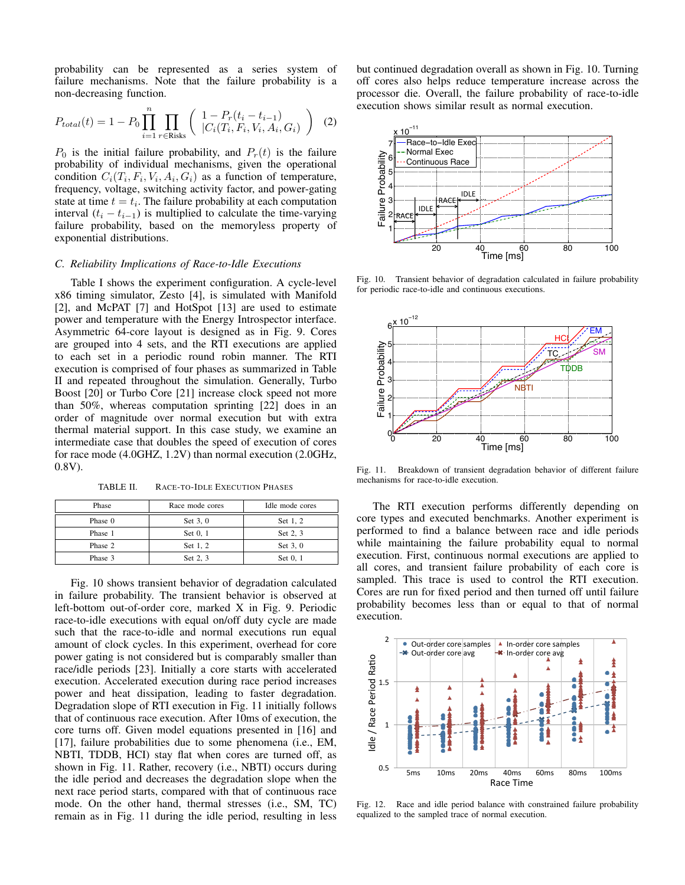probability can be represented as a series system of failure mechanisms. Note that the failure probability is a non-decreasing function.

$$
P_{total}(t) = 1 - P_0 \prod_{i=1}^{n} \prod_{r \in \text{Risk}} \left( \frac{1 - P_r(t_i - t_{i-1})}{|C_i(T_i, F_i, V_i, A_i, G_i)} \right)
$$
(2)

 $P_0$  is the initial failure probability, and  $P_r(t)$  is the failure probability of individual mechanisms, given the operational condition  $C_i(T_i, F_i, V_i, A_i, G_i)$  as a function of temperature, frequency, voltage, switching activity factor, and power-gating state at time  $t = t_i$ . The failure probability at each computation interval  $(t_i - t_{i-1})$  is multiplied to calculate the time-varying failure probability, based on the memoryless property of exponential distributions.

#### *C. Reliability Implications of Race-to-Idle Executions*

Table I shows the experiment configuration. A cycle-level x86 timing simulator, Zesto [4], is simulated with Manifold [2], and McPAT [7] and HotSpot [13] are used to estimate power and temperature with the Energy Introspector interface. Asymmetric 64-core layout is designed as in Fig. 9. Cores are grouped into 4 sets, and the RTI executions are applied to each set in a periodic round robin manner. The RTI execution is comprised of four phases as summarized in Table II and repeated throughout the simulation. Generally, Turbo Boost [20] or Turbo Core [21] increase clock speed not more than 50%, whereas computation sprinting [22] does in an order of magnitude over normal execution but with extra thermal material support. In this case study, we examine an intermediate case that doubles the speed of execution of cores for race mode (4.0GHZ, 1.2V) than normal execution (2.0GHz, 0.8V).

TABLE II. RACE-TO-IDLE EXECUTION PHASES

| Phase   | Race mode cores | Idle mode cores |
|---------|-----------------|-----------------|
| Phase 0 | Set 3, 0        | Set 1, 2        |
| Phase 1 | Set 0, 1        | Set 2, 3        |
| Phase 2 | Set 1, 2        | Set 3, 0        |
| Phase 3 | Set 2, 3        | Set 0, 1        |

Fig. 10 shows transient behavior of degradation calculated in failure probability. The transient behavior is observed at left-bottom out-of-order core, marked X in Fig. 9. Periodic race-to-idle executions with equal on/off duty cycle are made such that the race-to-idle and normal executions run equal amount of clock cycles. In this experiment, overhead for core power gating is not considered but is comparably smaller than race/idle periods [23]. Initially a core starts with accelerated execution. Accelerated execution during race period increases power and heat dissipation, leading to faster degradation. Degradation slope of RTI execution in Fig. 11 initially follows that of continuous race execution. After 10ms of execution, the core turns off. Given model equations presented in [16] and [17], failure probabilities due to some phenomena (i.e., EM, NBTI, TDDB, HCI) stay flat when cores are turned off, as shown in Fig. 11. Rather, recovery (i.e., NBTI) occurs during the idle period and decreases the degradation slope when the next race period starts, compared with that of continuous race mode. On the other hand, thermal stresses (i.e., SM, TC) remain as in Fig. 11 during the idle period, resulting in less but continued degradation overall as shown in Fig. 10. Turning off cores also helps reduce temperature increase across the processor die. Overall, the failure probability of race-to-idle execution shows similar result as normal execution.



Fig. 10. Transient behavior of degradation calculated in failure probability for periodic race-to-idle and continuous executions.



Fig. 11. Breakdown of transient degradation behavior of different failure mechanisms for race-to-idle execution.

The RTI execution performs differently depending on core types and executed benchmarks. Another experiment is performed to find a balance between race and idle periods while maintaining the failure probability equal to normal execution. First, continuous normal executions are applied to all cores, and transient failure probability of each core is sampled. This trace is used to control the RTI execution. Cores are run for fixed period and then turned off until failure probability becomes less than or equal to that of normal execution.



Fig. 12. Race and idle period balance with constrained failure probability equalized to the sampled trace of normal execution.